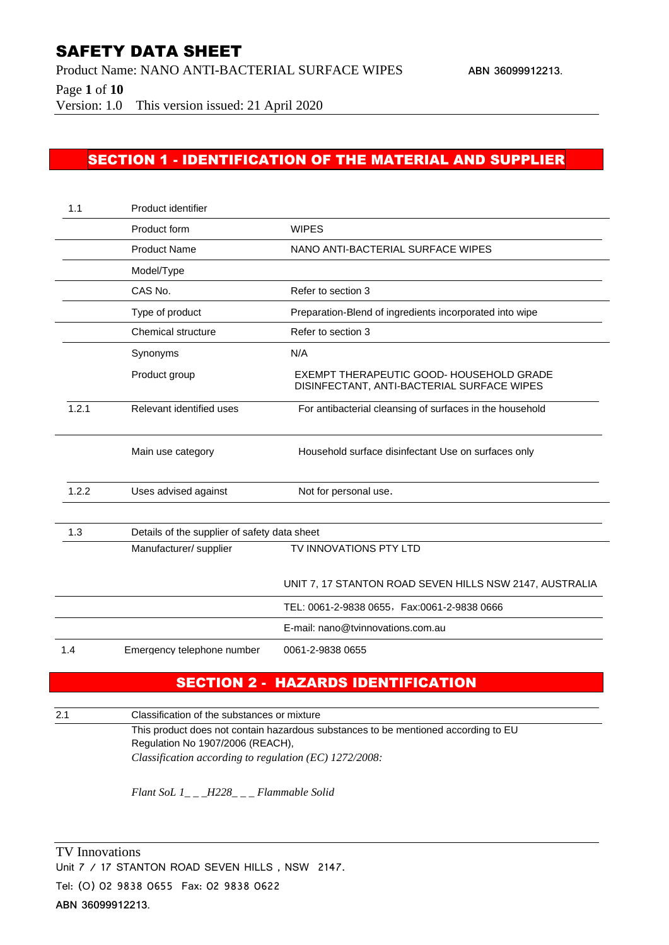Product Name: NANO ANTI-BACTERIAL SURFACE WIPES **ABN 36099912213**.

Page **1** of **10**

Version: 1.0 This version issued: 21 April 2020

#### SECTION 1 - IDENTIFICATION OF THE MATERIAL AND SUPPLIER

| 1.1   | Product identifier                           |                                                                                        |
|-------|----------------------------------------------|----------------------------------------------------------------------------------------|
|       | Product form                                 | <b>WIPES</b>                                                                           |
|       | <b>Product Name</b>                          | NANO ANTI-BACTERIAL SURFACE WIPES                                                      |
|       | Model/Type                                   |                                                                                        |
|       | CAS No.                                      | Refer to section 3                                                                     |
|       | Type of product                              | Preparation-Blend of ingredients incorporated into wipe                                |
|       | Chemical structure                           | Refer to section 3                                                                     |
|       | Synonyms                                     | N/A                                                                                    |
|       | Product group                                | EXEMPT THERAPEUTIC GOOD- HOUSEHOLD GRADE<br>DISINFECTANT, ANTI-BACTERIAL SURFACE WIPES |
| 1.2.1 | Relevant identified uses                     | For antibacterial cleansing of surfaces in the household                               |
|       | Main use category                            | Household surface disinfectant Use on surfaces only                                    |
| 1.2.2 | Uses advised against                         | Not for personal use.                                                                  |
| 1.3   | Details of the supplier of safety data sheet |                                                                                        |
|       | Manufacturer/ supplier                       | TV INNOVATIONS PTY LTD                                                                 |
|       |                                              | UNIT 7, 17 STANTON ROAD SEVEN HILLS NSW 2147, AUSTRALIA                                |
|       |                                              | TEL: 0061-2-9838 0655, Fax:0061-2-9838 0666                                            |
|       |                                              | E-mail: nano@tvinnovations.com.au                                                      |
| 1.4   | Emergency telephone number                   | 0061-2-9838 0655                                                                       |

## SECTION 2 - HAZARDS IDENTIFICATION

2.1 Classification of the substances or mixture

This product does not contain hazardous substances to be mentioned according to EU Regulation No 1907/2006 (REACH), *Classification according to regulation (EC) 1272/2008:*

*Flant SoL 1\_ \_ \_H228\_ \_ \_ Flammable Solid*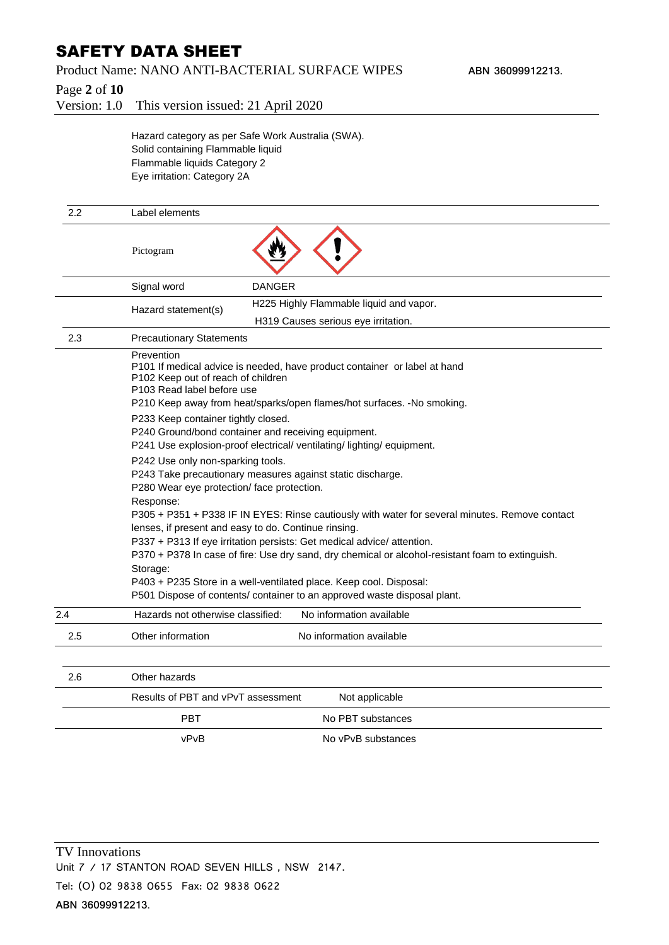#### Product Name: NANO ANTI-BACTERIAL SURFACE WIPES **ABN 36099912213**.

Page **2** of **10**

Version: 1.0 This version issued: 21 April 2020

Hazard category as per Safe Work Australia (SWA). Solid containing Flammable liquid Flammable liquids Category 2 Eye irritation: Category 2A

| 2.2 | Label elements                                                                                                                                                                                                                        |                                                                          |  |
|-----|---------------------------------------------------------------------------------------------------------------------------------------------------------------------------------------------------------------------------------------|--------------------------------------------------------------------------|--|
|     | Pictogram                                                                                                                                                                                                                             |                                                                          |  |
|     | Signal word                                                                                                                                                                                                                           | <b>DANGER</b>                                                            |  |
|     | Hazard statement(s)                                                                                                                                                                                                                   | H225 Highly Flammable liquid and vapor.                                  |  |
|     |                                                                                                                                                                                                                                       | H319 Causes serious eye irritation.                                      |  |
| 2.3 | <b>Precautionary Statements</b>                                                                                                                                                                                                       |                                                                          |  |
|     | Prevention<br>P101 If medical advice is needed, have product container or label at hand<br>P102 Keep out of reach of children<br>P103 Read label before use<br>P210 Keep away from heat/sparks/open flames/hot surfaces. -No smoking. |                                                                          |  |
|     | P233 Keep container tightly closed.                                                                                                                                                                                                   |                                                                          |  |
|     | P240 Ground/bond container and receiving equipment.                                                                                                                                                                                   |                                                                          |  |
|     | P241 Use explosion-proof electrical/ventilating/lighting/equipment.                                                                                                                                                                   |                                                                          |  |
|     | P242 Use only non-sparking tools.<br>P243 Take precautionary measures against static discharge.                                                                                                                                       |                                                                          |  |
|     | P280 Wear eye protection/ face protection.                                                                                                                                                                                            |                                                                          |  |
|     | Response:                                                                                                                                                                                                                             |                                                                          |  |
|     | P305 + P351 + P338 IF IN EYES: Rinse cautiously with water for several minutes. Remove contact                                                                                                                                        |                                                                          |  |
|     | lenses, if present and easy to do. Continue rinsing.<br>P337 + P313 If eye irritation persists: Get medical advice/ attention.                                                                                                        |                                                                          |  |
|     | P370 + P378 In case of fire: Use dry sand, dry chemical or alcohol-resistant foam to extinguish.                                                                                                                                      |                                                                          |  |
|     | Storage:                                                                                                                                                                                                                              |                                                                          |  |
|     | P403 + P235 Store in a well-ventilated place. Keep cool. Disposal:                                                                                                                                                                    |                                                                          |  |
|     |                                                                                                                                                                                                                                       | P501 Dispose of contents/ container to an approved waste disposal plant. |  |
| 2.4 | Hazards not otherwise classified:                                                                                                                                                                                                     | No information available                                                 |  |
| 2.5 | Other information                                                                                                                                                                                                                     | No information available                                                 |  |
| 2.6 | Other hazards                                                                                                                                                                                                                         |                                                                          |  |
|     | Results of PBT and vPvT assessment                                                                                                                                                                                                    | Not applicable                                                           |  |
|     |                                                                                                                                                                                                                                       |                                                                          |  |
|     |                                                                                                                                                                                                                                       |                                                                          |  |
|     | <b>PBT</b>                                                                                                                                                                                                                            | No PBT substances                                                        |  |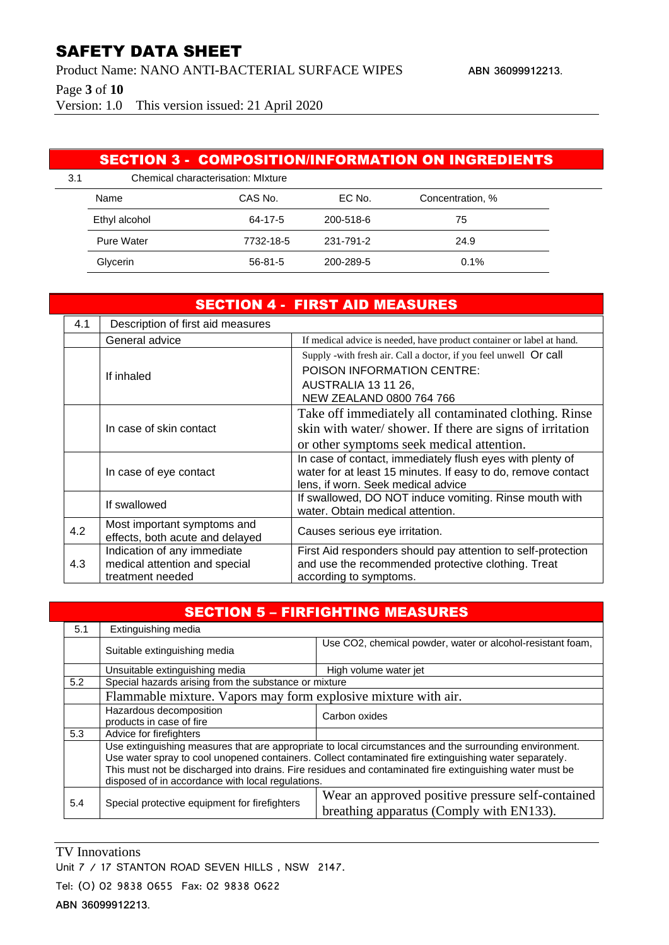Product Name: NANO ANTI-BACTERIAL SURFACE WIPES **ABN 36099912213**.

Page **3** of **10**

Version: 1.0 This version issued: 21 April 2020

#### SECTION 3 - COMPOSITION/INFORMATION ON INGREDIENTS

| 3.1 | Chemical characterisation: Mixture |               |           |                  |  |
|-----|------------------------------------|---------------|-----------|------------------|--|
|     | Name                               | CAS No.       | EC No.    | Concentration, % |  |
|     | Ethyl alcohol                      | 64-17-5       | 200-518-6 | 75               |  |
|     | Pure Water                         | 7732-18-5     | 231-791-2 | 24.9             |  |
|     | Glycerin                           | $56 - 81 - 5$ | 200-289-5 | 0.1%             |  |

| <b>SECTION 4 - FIRST AID MEASURES</b> |                                   |                                                                                            |  |
|---------------------------------------|-----------------------------------|--------------------------------------------------------------------------------------------|--|
| 4.1                                   | Description of first aid measures |                                                                                            |  |
|                                       | General advice                    | If medical advice is needed, have product container or label at hand.                      |  |
|                                       |                                   | Supply -with fresh air. Call a doctor, if you feel unwell Or call                          |  |
|                                       | If inhaled                        | POISON INFORMATION CENTRE:                                                                 |  |
|                                       |                                   | AUSTRALIA 13 11 26,                                                                        |  |
|                                       |                                   | NEW ZEALAND 0800 764 766                                                                   |  |
|                                       |                                   | Take off immediately all contaminated clothing. Rinse                                      |  |
|                                       | In case of skin contact           | skin with water/shower. If there are signs of irritation                                   |  |
|                                       |                                   | or other symptoms seek medical attention.                                                  |  |
|                                       |                                   | In case of contact, immediately flush eyes with plenty of                                  |  |
|                                       | In case of eye contact            | water for at least 15 minutes. If easy to do, remove contact                               |  |
|                                       |                                   | lens, if worn. Seek medical advice                                                         |  |
|                                       | If swallowed                      | If swallowed, DO NOT induce vomiting. Rinse mouth with<br>water. Obtain medical attention. |  |
|                                       | Most important symptoms and       |                                                                                            |  |
| 4.2                                   | effects, both acute and delayed   | Causes serious eye irritation.                                                             |  |
|                                       | Indication of any immediate       | First Aid responders should pay attention to self-protection                               |  |
| 4.3                                   | medical attention and special     | and use the recommended protective clothing. Treat                                         |  |
|                                       | treatment needed                  | according to symptoms.                                                                     |  |

| <b>SECTION 5 - FIRFIGHTING MEASURES</b> |                                                                                                                                                                                                                                                                                                                                                                                    |                                                                                               |  |  |
|-----------------------------------------|------------------------------------------------------------------------------------------------------------------------------------------------------------------------------------------------------------------------------------------------------------------------------------------------------------------------------------------------------------------------------------|-----------------------------------------------------------------------------------------------|--|--|
| 5.1                                     | Extinguishing media                                                                                                                                                                                                                                                                                                                                                                |                                                                                               |  |  |
|                                         | Suitable extinguishing media                                                                                                                                                                                                                                                                                                                                                       | Use CO2, chemical powder, water or alcohol-resistant foam,                                    |  |  |
|                                         | Unsuitable extinguishing media                                                                                                                                                                                                                                                                                                                                                     | High volume water jet                                                                         |  |  |
| 5.2                                     | Special hazards arising from the substance or mixture                                                                                                                                                                                                                                                                                                                              |                                                                                               |  |  |
|                                         | Flammable mixture. Vapors may form explosive mixture with air.                                                                                                                                                                                                                                                                                                                     |                                                                                               |  |  |
|                                         | Hazardous decomposition<br>products in case of fire                                                                                                                                                                                                                                                                                                                                | Carbon oxides                                                                                 |  |  |
| 5.3                                     | Advice for firefighters                                                                                                                                                                                                                                                                                                                                                            |                                                                                               |  |  |
|                                         | Use extinguishing measures that are appropriate to local circumstances and the surrounding environment.<br>Use water spray to cool unopened containers. Collect contaminated fire extinguishing water separately.<br>This must not be discharged into drains. Fire residues and contaminated fire extinguishing water must be<br>disposed of in accordance with local regulations. |                                                                                               |  |  |
| 5.4                                     | Special protective equipment for firefighters                                                                                                                                                                                                                                                                                                                                      | Wear an approved positive pressure self-contained<br>breathing apparatus (Comply with EN133). |  |  |

TV Innovations

Unit 7 / 17 STANTON ROAD SEVEN HILLS, NSW 2147.

Tel: (O) 02 9838 0655 Fax: 02 9838 0622

**ABN 36099912213**.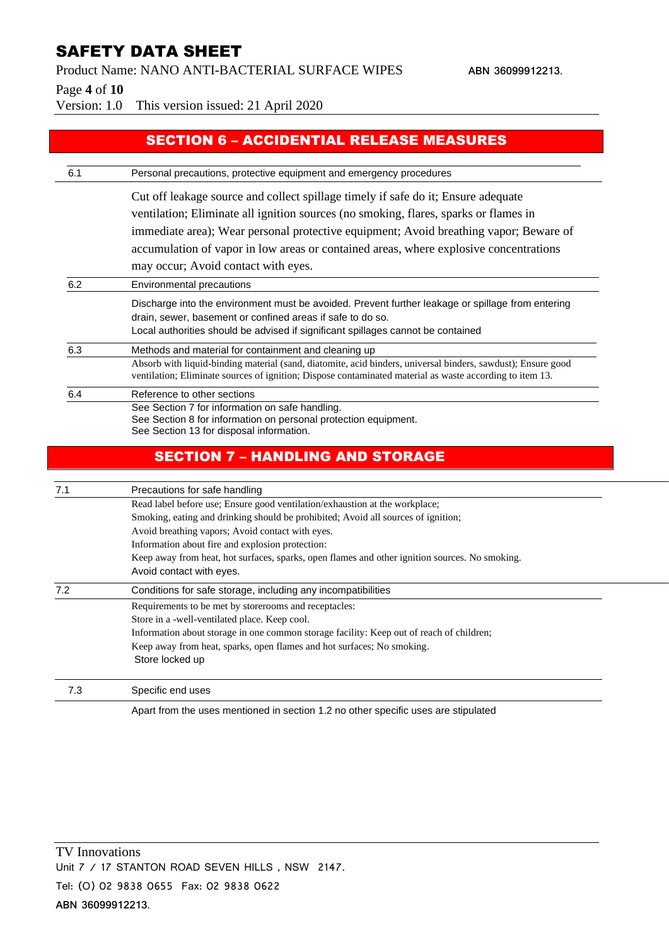Product Name: NANO ANTI-BACTERIAL SURFACE WIPES **ABN 36099912213**.

Page **4** of **10**

Version: 1.0 This version issued: 21 April 2020

## SECTION 6 – ACCIDENTIAL RELEASE MEASURES

| 6.1 | Personal precautions, protective equipment and emergency procedures                                                                                                                                                                                 |  |  |
|-----|-----------------------------------------------------------------------------------------------------------------------------------------------------------------------------------------------------------------------------------------------------|--|--|
|     | Cut off leakage source and collect spillage timely if safe do it; Ensure adequate                                                                                                                                                                   |  |  |
|     | ventilation; Eliminate all ignition sources (no smoking, flares, sparks or flames in                                                                                                                                                                |  |  |
|     | immediate area); Wear personal protective equipment; Avoid breathing vapor; Beware of                                                                                                                                                               |  |  |
|     | accumulation of vapor in low areas or contained areas, where explosive concentrations                                                                                                                                                               |  |  |
|     | may occur; Avoid contact with eyes.                                                                                                                                                                                                                 |  |  |
| 6.2 | Environmental precautions                                                                                                                                                                                                                           |  |  |
|     | Discharge into the environment must be avoided. Prevent further leakage or spillage from entering<br>drain, sewer, basement or confined areas if safe to do so.<br>Local authorities should be advised if significant spillages cannot be contained |  |  |
| 6.3 | Methods and material for containment and cleaning up                                                                                                                                                                                                |  |  |
|     | Absorb with liquid-binding material (sand, diatomite, acid binders, universal binders, sawdust); Ensure good<br>ventilation; Eliminate sources of ignition; Dispose contaminated material as waste according to item 13.                            |  |  |
| 6.4 | Reference to other sections                                                                                                                                                                                                                         |  |  |
|     | See Section 7 for information on safe handling.<br>See Section 8 for information on personal protection equipment.<br>See Section 13 for disposal information.                                                                                      |  |  |
|     | <b>SECTION 7 - HANDLING AND STORAGE</b>                                                                                                                                                                                                             |  |  |
| 7.1 | Precautions for safe handling                                                                                                                                                                                                                       |  |  |
|     | Read label before use; Ensure good ventilation/exhaustion at the workplace;                                                                                                                                                                         |  |  |
|     | Smoking, eating and drinking should be prohibited; Avoid all sources of ignition;                                                                                                                                                                   |  |  |
|     | Avoid breathing vapors; Avoid contact with eyes.                                                                                                                                                                                                    |  |  |
|     | Information about fire and explosion protection:                                                                                                                                                                                                    |  |  |
|     | Keep away from heat, hot surfaces, sparks, open flames and other ignition sources. No smoking.<br>Avoid contact with eyes.                                                                                                                          |  |  |
| 7.2 | Conditions for safe storage, including any incompatibilities                                                                                                                                                                                        |  |  |
|     | Requirements to be met by storerooms and receptacles:                                                                                                                                                                                               |  |  |
|     | Store in a -well-ventilated place. Keep cool.                                                                                                                                                                                                       |  |  |
|     | Information about storage in one common storage facility: Keep out of reach of children;                                                                                                                                                            |  |  |
|     | Keep away from heat, sparks, open flames and hot surfaces; No smoking.<br>Store locked up                                                                                                                                                           |  |  |
| 7.3 | Specific end uses                                                                                                                                                                                                                                   |  |  |
|     | Apart from the uses mentioned in section 1.2 no other specific uses are stipulated                                                                                                                                                                  |  |  |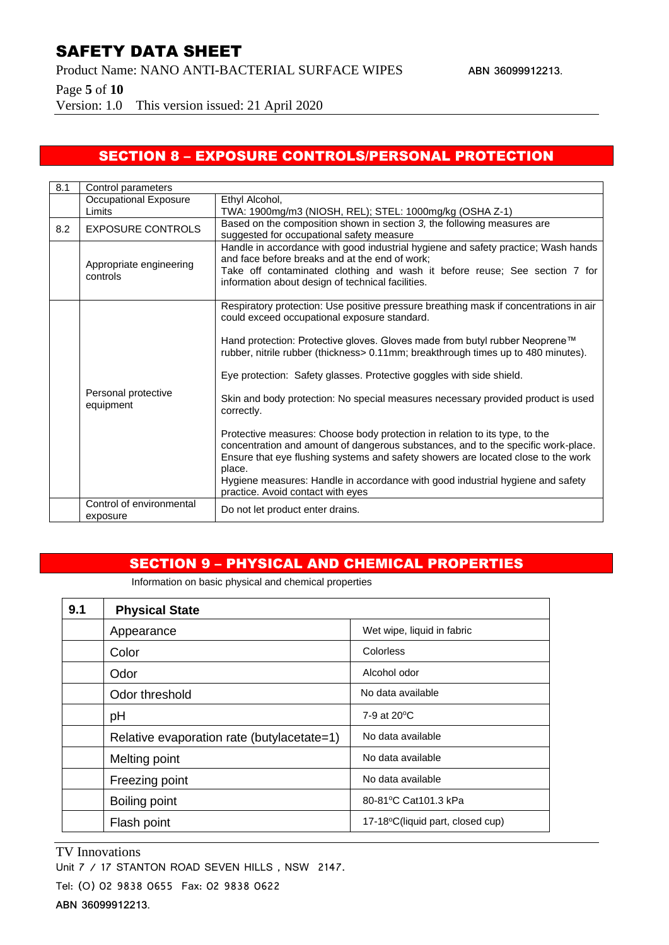Product Name: NANO ANTI-BACTERIAL SURFACE WIPES **ABN 36099912213**.

Page **5** of **10**

Version: 1.0 This version issued: 21 April 2020

## SECTION 8 – EXPOSURE CONTROLS/PERSONAL PROTECTION

| 8.1 | Control parameters                   |                                                                                                                                                                                                                                                                                                                                                                                                                                                                                                                                                                                                                                                                                                                                                                                                                                                                               |
|-----|--------------------------------------|-------------------------------------------------------------------------------------------------------------------------------------------------------------------------------------------------------------------------------------------------------------------------------------------------------------------------------------------------------------------------------------------------------------------------------------------------------------------------------------------------------------------------------------------------------------------------------------------------------------------------------------------------------------------------------------------------------------------------------------------------------------------------------------------------------------------------------------------------------------------------------|
|     | Occupational Exposure                | Ethyl Alcohol,                                                                                                                                                                                                                                                                                                                                                                                                                                                                                                                                                                                                                                                                                                                                                                                                                                                                |
|     | Limits                               | TWA: 1900mg/m3 (NIOSH, REL); STEL: 1000mg/kg (OSHA Z-1)                                                                                                                                                                                                                                                                                                                                                                                                                                                                                                                                                                                                                                                                                                                                                                                                                       |
| 8.2 | <b>EXPOSURE CONTROLS</b>             | Based on the composition shown in section 3, the following measures are<br>suggested for occupational safety measure                                                                                                                                                                                                                                                                                                                                                                                                                                                                                                                                                                                                                                                                                                                                                          |
|     | Appropriate engineering<br>controls  | Handle in accordance with good industrial hygiene and safety practice; Wash hands<br>and face before breaks and at the end of work;<br>Take off contaminated clothing and wash it before reuse; See section 7 for<br>information about design of technical facilities.                                                                                                                                                                                                                                                                                                                                                                                                                                                                                                                                                                                                        |
|     | Personal protective<br>equipment     | Respiratory protection: Use positive pressure breathing mask if concentrations in air<br>could exceed occupational exposure standard.<br>Hand protection: Protective gloves. Gloves made from butyl rubber Neoprene™<br>rubber, nitrile rubber (thickness> 0.11mm; breakthrough times up to 480 minutes).<br>Eye protection: Safety glasses. Protective goggles with side shield.<br>Skin and body protection: No special measures necessary provided product is used<br>correctly.<br>Protective measures: Choose body protection in relation to its type, to the<br>concentration and amount of dangerous substances, and to the specific work-place.<br>Ensure that eye flushing systems and safety showers are located close to the work<br>place.<br>Hygiene measures: Handle in accordance with good industrial hygiene and safety<br>practice. Avoid contact with eyes |
|     | Control of environmental<br>exposure | Do not let product enter drains.                                                                                                                                                                                                                                                                                                                                                                                                                                                                                                                                                                                                                                                                                                                                                                                                                                              |

#### SECTION 9 – PHYSICAL AND CHEMICAL PROPERTIES

Information on basic physical and chemical properties

| 9.1 | <b>Physical State</b>                      |                                  |
|-----|--------------------------------------------|----------------------------------|
|     | Appearance                                 | Wet wipe, liquid in fabric       |
|     | Color                                      | Colorless                        |
|     | Odor                                       | Alcohol odor                     |
|     | Odor threshold                             | No data available                |
|     | рH                                         | 7-9 at 20 °C                     |
|     | Relative evaporation rate (butylacetate=1) | No data available                |
|     | Melting point                              | No data available                |
|     | Freezing point                             | No data available                |
|     | Boiling point                              | 80-81°C Cat101.3 kPa             |
|     | Flash point                                | 17-18°C(liquid part, closed cup) |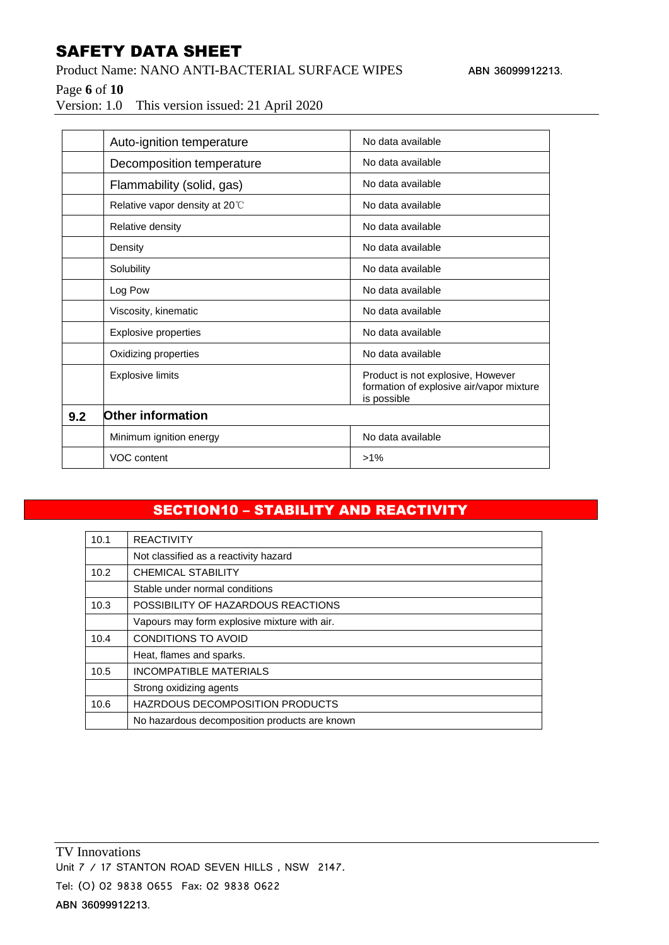Product Name: NANO ANTI-BACTERIAL SURFACE WIPES **ABN 36099912213**.

Page **6** of **10**

Version: 1.0 This version issued: 21 April 2020

|     | Auto-ignition temperature      | No data available                                                                            |
|-----|--------------------------------|----------------------------------------------------------------------------------------------|
|     | Decomposition temperature      | No data available                                                                            |
|     | Flammability (solid, gas)      | No data available                                                                            |
|     | Relative vapor density at 20°C | No data available                                                                            |
|     | Relative density               | No data available                                                                            |
|     | Density                        | No data available                                                                            |
|     | Solubility                     | No data available                                                                            |
|     | Log Pow                        | No data available                                                                            |
|     | Viscosity, kinematic           | No data available                                                                            |
|     | <b>Explosive properties</b>    | No data available                                                                            |
|     | Oxidizing properties           | No data available                                                                            |
|     | <b>Explosive limits</b>        | Product is not explosive, However<br>formation of explosive air/vapor mixture<br>is possible |
| 9.2 | <b>Other information</b>       |                                                                                              |
|     | Minimum ignition energy        | No data available                                                                            |
|     | VOC content                    | $>1\%$                                                                                       |

# SECTION10 – STABILITY AND REACTIVITY

| 10.1 | <b>REACTIVITY</b>                             |
|------|-----------------------------------------------|
|      | Not classified as a reactivity hazard         |
| 10.2 | <b>CHEMICAL STABILITY</b>                     |
|      | Stable under normal conditions                |
| 10.3 | POSSIBILITY OF HAZARDOUS REACTIONS            |
|      | Vapours may form explosive mixture with air.  |
| 10.4 | CONDITIONS TO AVOID                           |
|      | Heat, flames and sparks.                      |
| 10.5 | <b>INCOMPATIBLE MATERIALS</b>                 |
|      | Strong oxidizing agents                       |
| 10.6 | HAZRDOUS DECOMPOSITION PRODUCTS               |
|      | No hazardous decomposition products are known |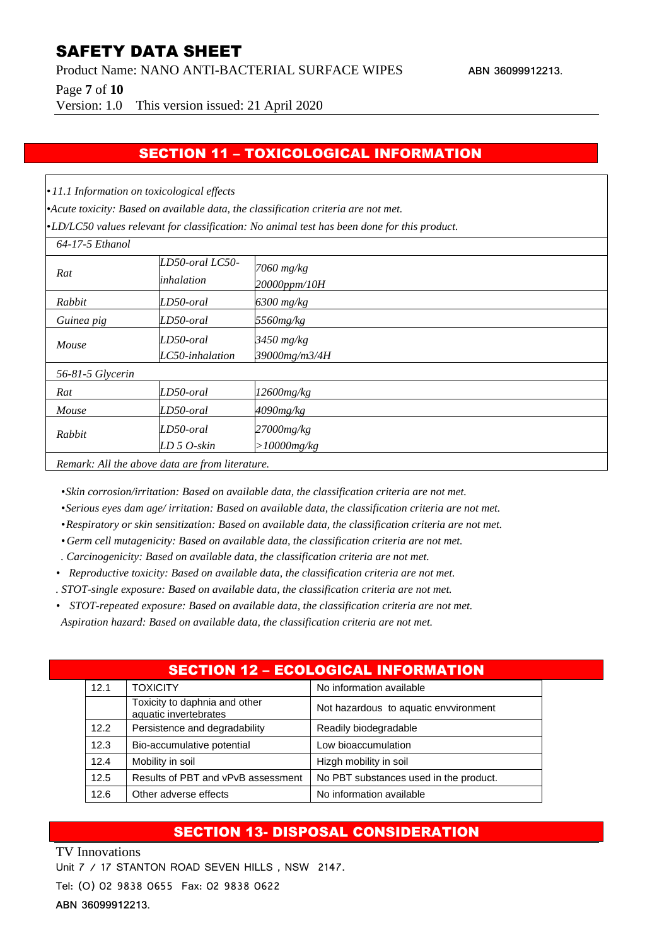Product Name: NANO ANTI-BACTERIAL SURFACE WIPES **ABN 36099912213**.

Page **7** of **10**

Version: 1.0 This version issued: 21 April 2020

#### SECTION 11 – TOXICOLOGICAL INFORMATION

*• 11.1 Information on toxicological effects*

*•Acute toxicity: Based on available data, the classification criteria are not met.*

*•LD/LC50 values relevant for classification: No animal test has been done for this product.*

| 64-17-5 Ethanol                                 |                               |                                 |
|-------------------------------------------------|-------------------------------|---------------------------------|
| Rat                                             | LD50-oral LC50-<br>inhalation | 7060 mg/kg<br>20000ppm/10H      |
| Rabbit                                          | LD50-oral                     | $6300$ mg/kg                    |
| Guinea pig                                      | LD50-oral                     | 5560mg/kg                       |
| Mouse                                           | LD50-oral<br>LC50-inhalation  | $3450$ mg/kg<br>39000mg/m3/4H   |
| 56-81-5 Glycerin                                |                               |                                 |
| Rat                                             | LD50-oral                     | 12600mg/kg                      |
| Mouse                                           | LD50-oral                     | $4090$ mg/kg                    |
| Rabbit                                          | LD50-oral<br>$LD 5 O$ -skin   | $27000$ mg/kg<br>$>10000$ mg/kg |
| Remark: All the above data are from literature. |                               |                                 |

*•Skin corrosion/irritation: Based on available data, the classification criteria are not met.*

*•Serious eyes dam age/ irritation: Based on available data, the classification criteria are not met.*

*•Respiratory or skin sensitization: Based on available data, the classification criteria are not met.*

*• Germ cell mutagenicity: Based on available data, the classification criteria are not met.*

- *. Carcinogenicity: Based on available data, the classification criteria are not met.*
- *• Reproductive toxicity: Based on available data, the classification criteria are not met.*
- *. STOT-single exposure: Based on available data, the classification criteria are not met.*
- *• STOT-repeated exposure: Based on available data, the classification criteria are not met. Aspiration hazard: Based on available data, the classification criteria are not met.*

#### SECTION 12 – ECOLOGICAL INFORMATION

| 12.1 | <b>TOXICITY</b>                                        | No information available               |
|------|--------------------------------------------------------|----------------------------------------|
|      | Toxicity to daphnia and other<br>aquatic invertebrates | Not hazardous to aquatic envoironment  |
| 12.2 | Persistence and degradability                          | Readily biodegradable                  |
| 12.3 | Bio-accumulative potential                             | Low bioaccumulation                    |
| 12.4 | Mobility in soil                                       | Hizgh mobility in soil                 |
| 12.5 | Results of PBT and vPvB assessment                     | No PBT substances used in the product. |
| 12.6 | Other adverse effects                                  | No information available               |

## SECTION 13- DISPOSAL CONSIDERATION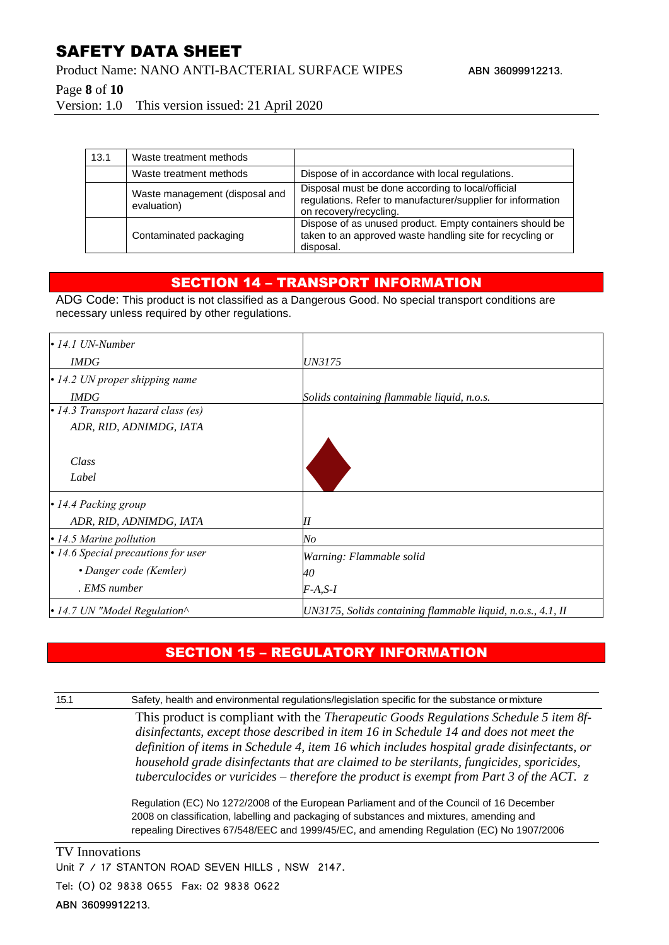Product Name: NANO ANTI-BACTERIAL SURFACE WIPES **ABN 36099912213**.

Page **8** of **10**

Version: 1.0 This version issued: 21 April 2020

| 13.1 | Waste treatment methods                       |                                                                                                                                            |
|------|-----------------------------------------------|--------------------------------------------------------------------------------------------------------------------------------------------|
|      | Waste treatment methods                       | Dispose of in accordance with local regulations.                                                                                           |
|      | Waste management (disposal and<br>evaluation) | Disposal must be done according to local/official<br>regulations. Refer to manufacturer/supplier for information<br>on recovery/recycling. |
|      | Contaminated packaging                        | Dispose of as unused product. Empty containers should be<br>taken to an approved waste handling site for recycling or                      |

#### SECTION 14 – TRANSPORT INFORMATION

disposal.

ADG Code: This product is not classified as a Dangerous Good. No special transport conditions are necessary unless required by other regulations.

| $\cdot$ 14.1 UN-Number               |                                                             |
|--------------------------------------|-------------------------------------------------------------|
| <b>IMDG</b>                          | <i>UN3175</i>                                               |
| $\cdot$ 14.2 UN proper shipping name |                                                             |
| <b>IMDG</b>                          | Solids containing flammable liquid, n.o.s.                  |
| • 14.3 Transport hazard class (es)   |                                                             |
| ADR, RID, ADNIMDG, IATA              |                                                             |
|                                      |                                                             |
| Class                                |                                                             |
| Label                                |                                                             |
| • 14.4 Packing group                 |                                                             |
| ADR, RID, ADNIMDG, IATA              | Ш                                                           |
| $\cdot$ 14.5 Marine pollution        | $N$ o                                                       |
| • 14.6 Special precautions for user  | Warning: Flammable solid                                    |
| • Danger code (Kemler)               | 40                                                          |
| . EMS number                         | $F-A, S-I$                                                  |
| • 14.7 UN "Model Regulation^         | UN3175, Solids containing flammable liquid, n.o.s., 4.1, II |

## SECTION 15 – REGULATORY INFORMATION

15.1 Safety, health and environmental regulations/legislation specific for the substance or mixture

This product is compliant with the *Therapeutic Goods Regulations Schedule 5 item 8fdisinfectants, except those described in item 16 in Schedule 14 and does not meet the definition of items in Schedule 4, item 16 which includes hospital grade disinfectants, or household grade disinfectants that are claimed to be sterilants, fungicides, sporicides, tuberculocides or vuricides – therefore the product is exempt from Part 3 of the ACT. z*

Regulation (EC) No 1272/2008 of the European Parliament and of the Council of 16 December 2008 on classification, labelling and packaging of substances and mixtures, amending and repealing Directives 67/548/EEC and 1999/45/EC, and amending Regulation (EC) No 1907/2006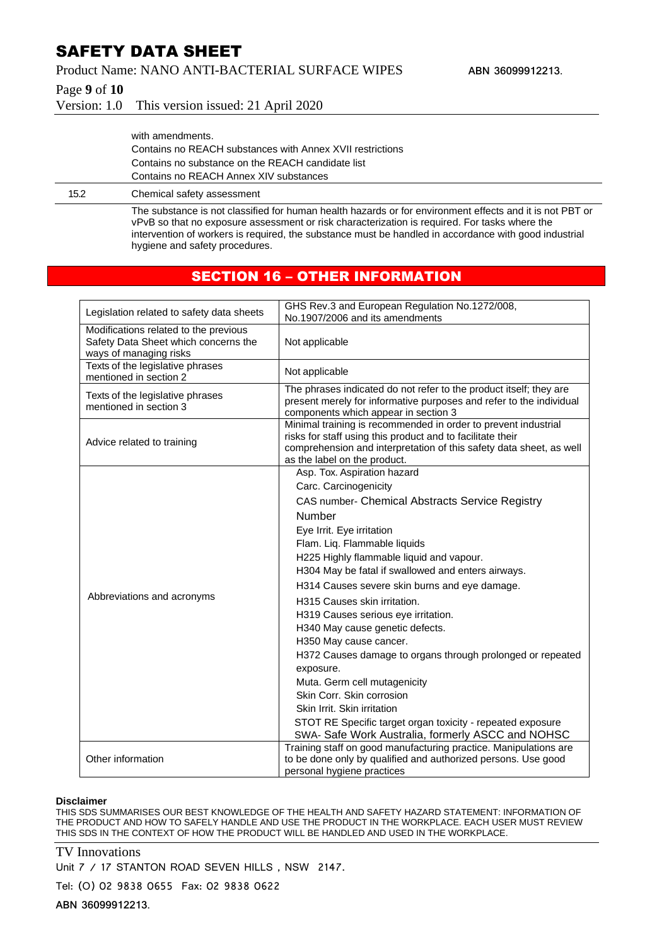Product Name: NANO ANTI-BACTERIAL SURFACE WIPES **ABN 36099912213**.

Page **9** of **10**

Version: 1.0 This version issued: 21 April 2020

|      | with amendments.                                          |
|------|-----------------------------------------------------------|
|      | Contains no REACH substances with Annex XVII restrictions |
|      | Contains no substance on the REACH candidate list         |
|      | Contains no REACH Annex XIV substances                    |
| 15.2 | Chemical safety assessment                                |

The substance is not classified for human health hazards or for environment effects and it is not PBT or vPvB so that no exposure assessment or risk characterization is required. For tasks where the intervention of workers is required, the substance must be handled in accordance with good industrial hygiene and safety procedures.

#### SECTION 16 – OTHER INFORMATION

| Legislation related to safety data sheets                                                               | GHS Rev.3 and European Regulation No.1272/008,<br>No.1907/2006 and its amendments                                                                                                                                                   |
|---------------------------------------------------------------------------------------------------------|-------------------------------------------------------------------------------------------------------------------------------------------------------------------------------------------------------------------------------------|
| Modifications related to the previous<br>Safety Data Sheet which concerns the<br>ways of managing risks | Not applicable                                                                                                                                                                                                                      |
| Texts of the legislative phrases<br>mentioned in section 2                                              | Not applicable                                                                                                                                                                                                                      |
| Texts of the legislative phrases<br>mentioned in section 3                                              | The phrases indicated do not refer to the product itself; they are<br>present merely for informative purposes and refer to the individual<br>components which appear in section 3                                                   |
| Advice related to training                                                                              | Minimal training is recommended in order to prevent industrial<br>risks for staff using this product and to facilitate their<br>comprehension and interpretation of this safety data sheet, as well<br>as the label on the product. |
|                                                                                                         | Asp. Tox. Aspiration hazard<br>Carc. Carcinogenicity                                                                                                                                                                                |
|                                                                                                         | CAS number- Chemical Abstracts Service Registry<br><b>Number</b>                                                                                                                                                                    |
|                                                                                                         | Eye Irrit. Eye irritation<br>Flam. Liq. Flammable liquids<br>H225 Highly flammable liquid and vapour.<br>H304 May be fatal if swallowed and enters airways.                                                                         |
| Abbreviations and acronyms                                                                              | H314 Causes severe skin burns and eye damage.                                                                                                                                                                                       |
|                                                                                                         | H315 Causes skin irritation.<br>H319 Causes serious eye irritation.<br>H340 May cause genetic defects.<br>H350 May cause cancer.                                                                                                    |
|                                                                                                         | H372 Causes damage to organs through prolonged or repeated<br>exposure.<br>Muta. Germ cell mutagenicity                                                                                                                             |
|                                                                                                         | Skin Corr. Skin corrosion                                                                                                                                                                                                           |
|                                                                                                         | Skin Irrit. Skin irritation                                                                                                                                                                                                         |
|                                                                                                         | STOT RE Specific target organ toxicity - repeated exposure<br>SWA- Safe Work Australia, formerly ASCC and NOHSC                                                                                                                     |
| Other information                                                                                       | Training staff on good manufacturing practice. Manipulations are<br>to be done only by qualified and authorized persons. Use good<br>personal hygiene practices                                                                     |

#### **Disclaimer**

THIS SDS SUMMARISES OUR BEST KNOWLEDGE OF THE HEALTH AND SAFETY HAZARD STATEMENT: INFORMATION OF THE PRODUCT AND HOW TO SAFELY HANDLE AND USE THE PRODUCT IN THE WORKPLACE. EACH USER MUST REVIEW THIS SDS IN THE CONTEXT OF HOW THE PRODUCT WILL BE HANDLED AND USED IN THE WORKPLACE.

#### TV Innovations

Unit 7 / 17 STANTON ROAD SEVEN HILLS, NSW 2147.

Tel: (O) 02 9838 0655 Fax: 02 9838 0622